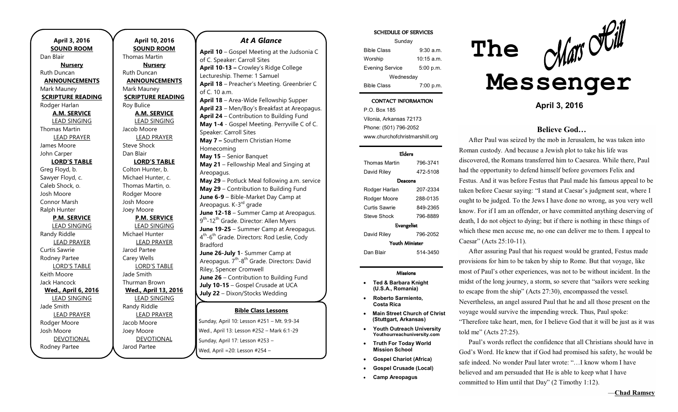**April 3, 2016 SOUND ROOM**  Dan Blair **Nursery**  Ruth Duncan **ANNOUNCEMENTS**  Mark Mauney **SCRIPTURE READING**  Rodger Harlan **A.M. SERVICE**  LEAD SINGING Thomas Martin LEAD PRAYER James Moore John Carper **LORD'S TABLE** Greg Floyd, b. Sawyer Floyd, c. Caleb Shock, o. Josh Moore Connor Marsh Ralph Hunter **P.M. SERVICE**  LEAD SINGING Randy Riddle LEAD PRAYER Curtis Sawrie Rodney Partee LORD'S TABLE Keith Moore Jack Hancock **Wed., April 6, 2016**  LEAD SINGING Jade Smith LEAD PRAYER Rodger Moore Josh Moore DEVOTIONAL

Rodney Partee

**April 10, 2016 SOUND ROOM**  Thomas Martin **Nursery**  Ruth Duncan **ANNOUNCEMENTS**  Mark Mauney **SCRIPTURE READING**  Roy Bulice **A.M. SERVICE**  LEAD SINGING Jacob Moore LEAD PRAYER Steve Shock Dan Blair **LORD'S TABLE** Colton Hunter, b. Michael Hunter, c. Thomas Martin, o. Rodger Moore Josh Moore Joey Moore **P.M. SERVICE**  LEAD SINGING Michael Hunter LEAD PRAYER Jarod Partee Carey Wells LORD'S TABLE Jade Smith Thurman Brown **Wed., April 13, 2016**  LEAD SINGING Randy Riddle LEAD PRAYER Jacob Moore Joey Moore DEVOTIONAL

Jarod Partee

## *At A Glance*

**Bible Class Lessons April 10** – Gospel Meeting at the Judsonia C of C. Speaker: Carroll Sites **April 10-13 –** Crowley's Ridge College Lectureship. Theme: 1 Samuel **April 18** – Preacher's Meeting. Greenbrier C of C. 10 a.m. **April 18** – Area-Wide Fellowship Supper **April 23** – Men/Boy's Breakfast at Areopagus. **April 24** – Contribution to Building Fund **May 1-4** - Gospel Meeting. Perryville C of C. Speaker: Carroll Sites **May 7 –** Southern Christian Home Homecoming **May 15** – Senior Banquet **May 21** – Fellowship Meal and Singing at Areopagus. **May 29** – Potluck Meal following a.m. service **May 29** – Contribution to Building Fund **June 6-9** – Bible-Market Day Camp at Areopagus. K-3<sup>rd</sup> grade **June 12-18** – Summer Camp at Areopagus. 9<sup>th</sup>-12<sup>th</sup> Grade. Director: Allen Myers **June 19-25** – Summer Camp at Areopagus. 4<sup>th</sup>-6<sup>th</sup> Grade. Directors: Rod Leslie, Cody Bradford **June 26-July 1**- Summer Camp at Areopagus. 7<sup>th</sup>-8<sup>th</sup> Grade. Directors: David Riley, Spencer Cromwell **June 26** – Contribution to Building Fund **July 10-15** – Gospel Crusade at UCA **July 22** – Dixon/Stocks Wedding

Sunday, April 10: Lesson #251 – Mt. 9:9-34 Wed., April 13: Lesson #252 – Mark 6:1-29 Sunday, April 17: Lesson #253 – Wed, April =20: Lesson #254 –

#### SCHEDULE OF SERVICES

| Sunday                 |                      |
|------------------------|----------------------|
| <b>Bible Class</b>     | 9:30 a.m.            |
| Worship                | $10:15 \text{ a.m.}$ |
| <b>Evening Service</b> | 5:00 p.m.            |
| Wednesday              |                      |
| <b>Bible Class</b>     | 7:00 p.m.            |

#### CONTACT INFORMATION

P.O. Box 185 Vilonia, Arkansas 72173 Phone: (501) 796-2052 www.churchofchristmarshill.org

#### Elders

| Thomas Martin         | 796-3741 |  |
|-----------------------|----------|--|
| David Riley           | 472-5108 |  |
| Deacons               |          |  |
| Rodger Harlan         | 207-2334 |  |
| Rodger Moore          | 288-0135 |  |
| Curtis Sawrie         | 849-2365 |  |
| Steve Shock           | 796-8889 |  |
| Evangelist            |          |  |
| David Riley           | 796-2052 |  |
| <b>Youth Minister</b> |          |  |
| Dan Blair             | 514-3450 |  |

## Missions

- · **Ted & Barbara Knight (U.S.A., Romania)**
- · **Roberto Sarmiento, Costa Rica**
- **Main Street Church of Christ (Stuttgart, Arkansas)**
- · **Youth Outreach University Youthourreachuniversity.com**
- · **Truth For Today World Mission School**
- · **Gospel Chariot (Africa)**
- · **Gospel Crusade (Local)**
- · **Camp Areopagus**



**April 3, 2016** 

# **Believe God…**

After Paul was seized by the mob in Jerusalem, he was taken into Roman custody. And because a Jewish plot to take his life was discovered, the Romans transferred him to Caesarea. While there, Paul had the opportunity to defend himself before governors Felix and Festus. And it was before Festus that Paul made his famous appeal to be taken before Caesar saying: "I stand at Caesar's judgment seat, where I ought to be judged. To the Jews I have done no wrong, as you very well know. For if I am an offender, or have committed anything deserving of death, I do not object to dying; but if there is nothing in these things of which these men accuse me, no one can deliver me to them. I appeal to Caesar" (Acts 25:10-11).

After assuring Paul that his request would be granted, Festus made provisions for him to be taken by ship to Rome. But that voyage, like most of Paul's other experiences, was not to be without incident. In the midst of the long journey, a storm, so severe that "sailors were seeking to escape from the ship" (Acts 27:30), encompassed the vessel. Nevertheless, an angel assured Paul that he and all those present on the voyage would survive the impending wreck. Thus, Paul spoke: "Therefore take heart, men, for I believe God that it will be just as it was told me" (Acts 27:25).

Paul's words reflect the confidence that all Christians should have in God's Word. He knew that if God had promised his safety, he would be safe indeed. No wonder Paul later wrote: "…I know whom I have believed and am persuaded that He is able to keep what I have committed to Him until that Day" (2 Timothy 1:12).